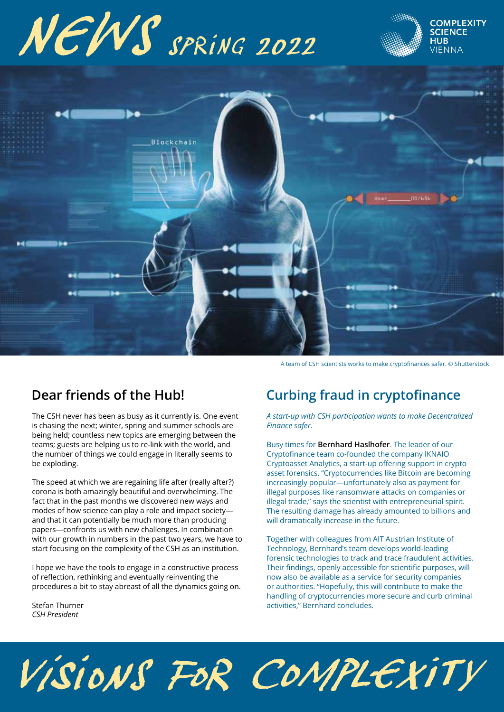# NEWS SPRING 2022





A team of CSH scientists works to make cryptofinances safer. © Shutterstock

The CSH never has been as busy as it currently is. One event is chasing the next; winter, spring and summer schools are being held; countless new topics are emerging between the teams; guests are helping us to re-link with the world, and the number of things we could engage in literally seems to be exploding.

The speed at which we are regaining life after (really after?) corona is both amazingly beautiful and overwhelming. The fact that in the past months we discovered new ways and modes of how science can play a role and impact society and that it can potentially be much more than producing papers—confronts us with new challenges. In combination with our growth in numbers in the past two years, we have to start focusing on the complexity of the CSH as an institution.

I hope we have the tools to engage in a constructive process of reflection, rethinking and eventually reinventing the procedures a bit to stay abreast of all the dynamics going on.

Stefan Thurner *CSH President* 

## **Dear friends of the Hub! Curbing fraud in cryptofinance**

*A start-up with CSH participation wants to make Decentralized Finance safer.* 

Busy times for **Bernhard Haslhofer**. The leader of our Cryptofinance team co-founded the company IKNAIO Cryptoasset Analytics, a start-up offering support in crypto asset forensics. "Cryptocurrencies like Bitcoin are becoming increasingly popular—unfortunately also as payment for illegal purposes like ransomware attacks on companies or illegal trade," says the scientist with entrepreneurial spirit. The resulting damage has already amounted to billions and will dramatically increase in the future.

Together with colleagues from AIT Austrian Institute of Technology, Bernhard's team develops world-leading forensic technologies to track and trace fraudulent activities. Their findings, openly accessible for scientific purposes, will now also be available as a service for security companies or authorities. "Hopefully, this will contribute to make the handling of cryptocurrencies more secure and curb criminal activities," Bernhard concludes.

## VISIONS FOR COMPLEXITY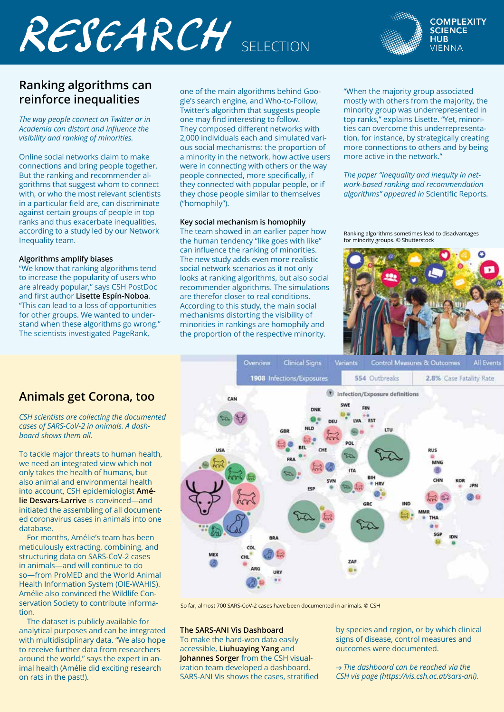## RESEARCH SELECTION



### **Ranking algorithms can reinforce inequalities**

*The way people connect on Twitter or in*  Academia can distort and influence the *visibility and ranking of minorities.* 

Online social networks claim to make connections and bring people together. But the ranking and recommender algorithms that suggest whom to connect with, or who the most relevant scientists in a particular field are, can discriminate against certain groups of people in top ranks and thus exacerbate inequalities, according to a study led by our Network Inequality team.

#### **Algorithms amplify biases**

"We know that ranking algorithms tend to increase the popularity of users who are already popular," says CSH PostDoc and first author **Lisette Espín-Noboa**. "This can lead to a loss of opportunities for other groups. We wanted to understand when these algorithms go wrong." The scientists investigated PageRank,

one of the main algorithms behind Google's search engine, and Who-to-Follow, Twitter's algorithm that suggests people one may find interesting to follow. They composed different networks with 2,000 individuals each and simulated various social mechanisms: the proportion of a minority in the network, how active users were in connecting with others or the way people connected, more specifically, if they connected with popular people, or if they chose people similar to themselves ("homophily").

#### **Key social mechanism is homophily**

The team showed in an earlier paper how the human tendency "like goes with like" can influence the ranking of minorities. The new study adds even more realistic social network scenarios as it not only looks at ranking algorithms, but also social recommender algorithms. The simulations are therefor closer to real conditions. According to this study, the main social mechanisms distorting the visibility of minorities in rankings are homophily and the proportion of the respective minority.

"When the majority group associated mostly with others from the majority, the minority group was underrepresented in top ranks," explains Lisette. "Yet, minorities can overcome this underrepresentation, for instance, by strategically creating more connections to others and by being more active in the network."

*The paper "Inequality and inequity in network-based ranking and recommendation algorithms" appeared in* Scientific Reports*.* 

Ranking algorithms sometimes lead to disadvantages for minority groups. © Shutterstock



### **Animals get Corona, too**

*CSH scientists are collecting the documented cases of SARS-CoV-2 in animals. A dashboard shows them all.*

To tackle major threats to human health, we need an integrated view which not only takes the health of humans, but also animal and environmental health into account, CSH epidemiologist **Amélie Desvars-Larrive** is convinced—and initiated the assembling of all documented coronavirus cases in animals into one database.

 For months, Amélie's team has been meticulously extracting, combining, and structuring data on SARS-CoV-2 cases in animals—and will continue to do so—from ProMED and the World Animal Health Information System (OIE-WAHIS). Amélie also convinced the Wildlife Conservation Society to contribute information.

 The dataset is publicly available for analytical purposes and can be integrated with multidisciplinary data. "We also hope to receive further data from researchers around the world," says the expert in animal health (Amélie did exciting research on rats in the past!).



So far, almost 700 SARS-CoV-2 cases have been documented in animals. © CSH

### **The SARS-ANI Vis Dashboard**

To make the hard-won data easily accessible, **Liuhuaying Yang** and **Johannes Sorger** from the CSH visualization team developed a dashboard. SARS-ANI Vis shows the cases, stratified by species and region, or by which clinical signs of disease, control measures and outcomes were documented.

→ *The dashboard can be reached via the CSH vis page (https://vis.csh.ac.at/sars-ani).*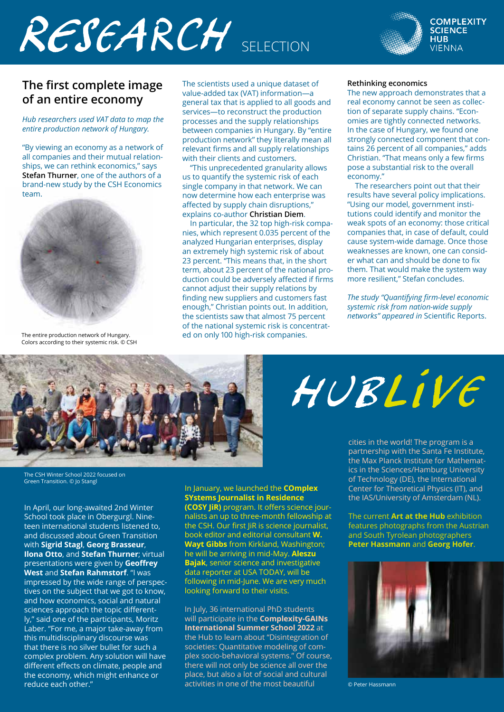## RESEARCH SELECTION



### **The first complete image of an entire economy**

*Hub researchers used VAT data to map the entire production network of Hungary.* 

"By viewing an economy as a network of all companies and their mutual relationships, we can rethink economics," says **Stefan Thurner**, one of the authors of a brand-new study by the CSH Economics team.



The entire production network of Hungary. Colors according to their systemic risk. © CSH

The scientists used a unique dataset of value-added tax (VAT) information—a general tax that is applied to all goods and services—to reconstruct the production processes and the supply relationships between companies in Hungary. By "entire production network" they literally mean all relevant firms and all supply relationships with their clients and customers.

 "This unprecedented granularity allows us to quantify the systemic risk of each single company in that network. We can now determine how each enterprise was affected by supply chain disruptions," explains co-author **Christian Diem**.

 In particular, the 32 top high-risk companies, which represent 0.035 percent of the analyzed Hungarian enterprises, display an extremely high systemic risk of about 23 percent. "This means that, in the short term, about 23 percent of the national production could be adversely affected if firms cannot adjust their supply relations by finding new suppliers and customers fast enough," Christian points out. In addition, the scientists saw that almost 75 percent of the national systemic risk is concentrated on only 100 high-risk companies.

#### **Rethinking economics**

The new approach demonstrates that a real economy cannot be seen as collection of separate supply chains. "Economies are tightly connected networks. In the case of Hungary, we found one strongly connected component that contains 26 percent of all companies," adds Christian. "That means only a few firms pose a substantial risk to the overall .<br>economy."

 The researchers point out that their results have several policy implications. "Using our model, government institutions could identify and monitor the weak spots of an economy: those critical companies that, in case of default, could cause system-wide damage. Once those weaknesses are known, one can consider what can and should be done to fix them. That would make the system way more resilient," Stefan concludes.

**The study "Quantifying firm-level economic** *systemic risk from nation-wide supply networks" appeared in* Scientific Reports.



HUBLIVE

cities in the world! The program is a partnership with the Santa Fe Institute, the Max PIanck Institute for Mathematics in the Sciences/Hamburg University of Technology (DE), the International Center for Theoretical Physics (IT), and the IAS/University of Amsterdam (NL).

The current **Art at the Hub** exhibition features photographs from the Austrian and South Tyrolean photographers **Peter Hassmann** and **Georg Hofer**.



© Peter Hassmann

The CSH Winter School 2022 focused on Green Transition. © Jo Stangl

In April, our long-awaited 2nd Winter School took place in Obergurgl. Nineteen international students listened to, and discussed about Green Transition with **Sigrid Stagl**, **Georg Brasseur**, **Ilona Otto**, and **Stefan Thurner**; virtual presentations were given by **Geoffrey West** and **Stefan Rahmstorf**. "I was impressed by the wide range of perspectives on the subject that we got to know, and how economics, social and natural sciences approach the topic differently," said one of the participants, Moritz Laber. "For me, a major take-away from this multidisciplinary discourse was that there is no silver bullet for such a complex problem. Any solution will have different effects on climate, people and the economy, which might enhance or reduce each other."

In January, we launched the **COmplex SYstems Journalist in Residence (COSY JiR)** program. It offers science journalists an up to three-month fellowship at the CSH. Our first JiR is science journalist, book editor and editorial consultant **W. Wayt Gibbs** from Kirkland, Washington; he will be arriving in mid-May. **Aleszu Bajak**, senior science and investigative data reporter at USA TODAY, will be following in mid-June. We are very much looking forward to their visits.

In July, 36 international PhD students will participate in the **Complexity-GAINs International Summer School 2022** at the Hub to learn about "Disintegration of societies: Quantitative modeling of complex socio-behavioral systems." Of course, there will not only be science all over the place, but also a lot of social and cultural activities in one of the most beautiful